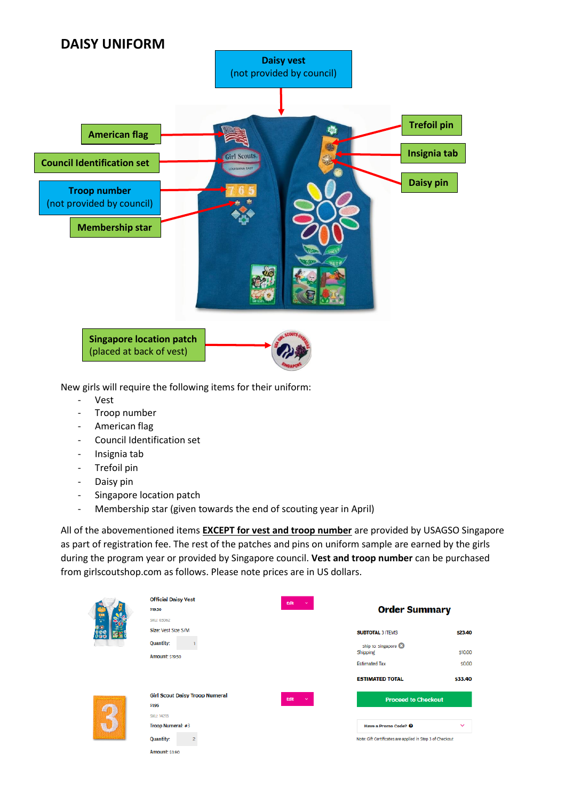

New girls will require the following items for their uniform:

- **Vest**
- Troop number
- American flag
- Council Identification set
- Insignia tab
- Trefoil pin
- Daisy pin
- Singapore location patch
- Membership star (given towards the end of scouting year in April)

|              | <b>Official Daisy Vest</b><br>\$19.50<br><b>SKU: 03062</b>                                                                                        | Edit<br>$\checkmark$ | <b>Order Summary</b>                                                                                                       |                                         |
|--------------|---------------------------------------------------------------------------------------------------------------------------------------------------|----------------------|----------------------------------------------------------------------------------------------------------------------------|-----------------------------------------|
|              | Size: Vest Size S/M<br><b>Quantity:</b><br><b>Amount: \$19.50</b>                                                                                 |                      | <b>SUBTOTAL 3 ITEMS</b><br>Ship to: Singapore<br>Shipping<br><b>Estimated Tax</b><br><b>ESTIMATED TOTAL</b>                | \$23.40<br>\$10,00<br>\$0.00<br>\$33.40 |
| $\mathbf{R}$ | <b>Girl Scout Daisy Troop Numeral</b><br>\$1.95<br><b>SKU: 14213</b><br>Troop Numeral: #3<br><b>Quantity:</b><br>$\overline{2}$<br>Amount: \$3.90 | Edit<br>$\checkmark$ | <b>Proceed to Checkout</b><br>Have a Promo Code? <sup>©</sup><br>Note: Gift Certificates are applied in Step 3 of Checkout | $\checkmark$                            |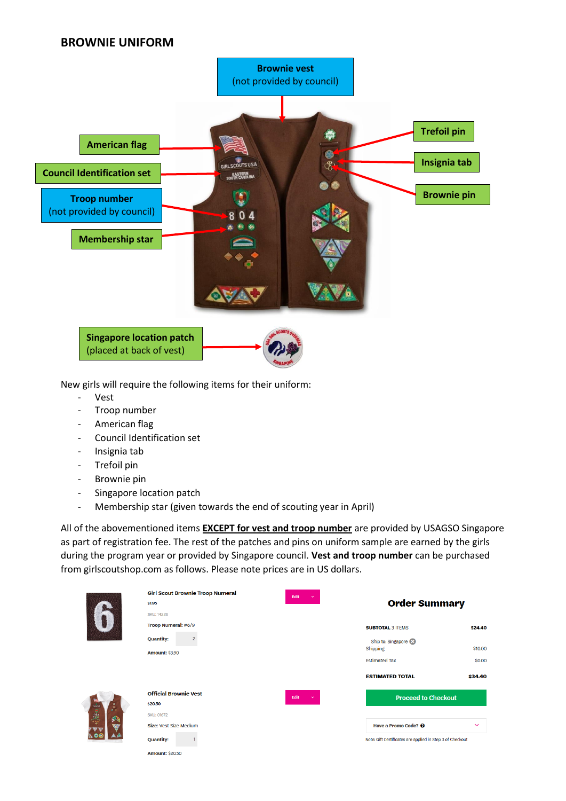## **BROWNIE UNIFORM**



New girls will require the following items for their uniform:

- Vest
- Troop number
- American flag
- Council Identification set
- Insignia tab
- Trefoil pin
- Brownie pin
- Singapore location patch
- Membership star (given towards the end of scouting year in April)

|               | <b>Girl Scout Brownie Troop Numeral</b> | Edit<br>$\checkmark$ |                                                           |              |
|---------------|-----------------------------------------|----------------------|-----------------------------------------------------------|--------------|
|               | \$1.95                                  |                      | <b>Order Summary</b>                                      |              |
|               | <b>SKU: 14226</b>                       |                      |                                                           |              |
|               | Troop Numeral: #6/9                     |                      | <b>SUBTOTAL 3 ITEMS</b>                                   | \$24.40      |
|               | <b>Quantity:</b><br>2                   |                      | Ship to: Singapore                                        |              |
|               | <b>Amount: \$3.90</b>                   |                      | Shipping                                                  | \$10,00      |
|               |                                         |                      | <b>Estimated Tax</b>                                      | \$0.00       |
|               |                                         |                      | <b>ESTIMATED TOTAL</b>                                    | \$34.40      |
|               | <b>Official Brownie Vest</b>            | Edit<br>$\sim$       | <b>Proceed to Checkout</b>                                |              |
| $\frac{1}{2}$ | \$20.50                                 |                      |                                                           |              |
| 卵             | <b>SKU: 01672</b>                       |                      |                                                           |              |
| Ŵ             | Size: Vest Size Medium                  |                      | Have a Promo Code? @                                      | $\checkmark$ |
|               | <b>Quantity:</b>                        |                      | Note: Gift Certificates are applied in Step 3 of Checkout |              |
|               | <b>Amount: \$20.50</b>                  |                      |                                                           |              |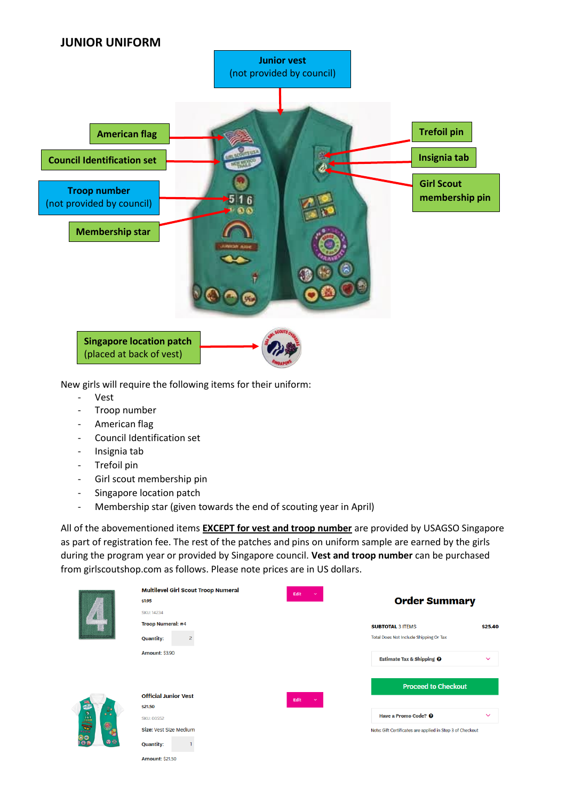

New girls will require the following items for their uniform:

- **Vest**
- Troop number
- American flag
- Council Identification set
- Insignia tab
- Trefoil pin
- Girl scout membership pin
- Singapore location patch
- Membership star (given towards the end of scouting year in April)

|                  | <b>Multilevel Girl Scout Troop Numeral</b> | Edit<br>$\checkmark$ |                                                           |              |
|------------------|--------------------------------------------|----------------------|-----------------------------------------------------------|--------------|
|                  | \$1.95                                     |                      | <b>Order Summary</b>                                      |              |
|                  | <b>SKU: 14234</b>                          |                      |                                                           |              |
|                  | <b>Troop Numeral: #4</b>                   |                      | <b>SUBTOTAL 3 ITEMS</b>                                   | \$25.40      |
|                  | <b>Quantity:</b><br>2                      |                      | Total Does Not Include Shipping Or Tax                    |              |
|                  | <b>Amount: \$3.90</b>                      |                      | <b>Estimate Tax &amp; Shipping @</b>                      | $\checkmark$ |
|                  |                                            |                      | <b>Proceed to Checkout</b>                                |              |
|                  | <b>Official Junior Vest</b>                | Edit<br>$\checkmark$ |                                                           |              |
| $\frac{1}{2}$    | <b>\$21.50</b>                             |                      |                                                           |              |
| $\bullet\bullet$ | <b>SKU: 00552</b>                          |                      | Have a Promo Code? @                                      | $\checkmark$ |
|                  | Size: Vest Size Medium                     |                      | Note: Gift Certificates are applied in Step 3 of Checkout |              |
|                  | <b>Quantity:</b>                           |                      |                                                           |              |
|                  | <b>Amount: \$21,50</b>                     |                      |                                                           |              |